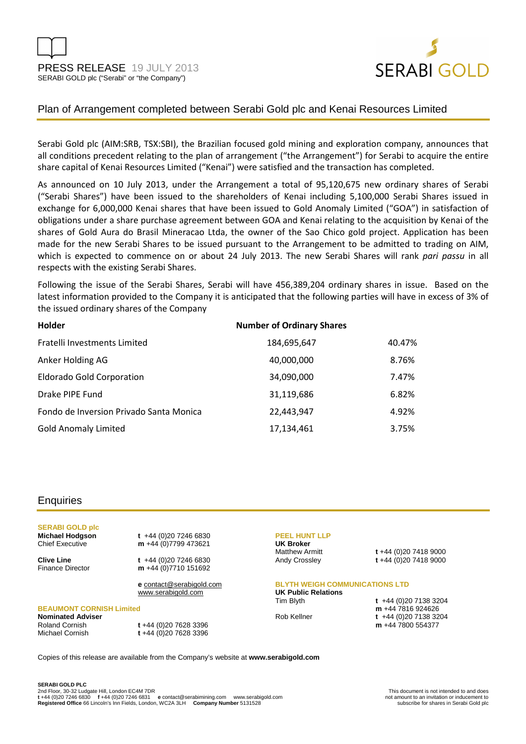



# Plan of Arrangement completed between Serabi Gold plc and Kenai Resources Limited

Serabi Gold plc (AIM:SRB, TSX:SBI), the Brazilian focused gold mining and exploration company, announces that all conditions precedent relating to the plan of arrangement ("the Arrangement") for Serabi to acquire the entire share capital of Kenai Resources Limited ("Kenai") were satisfied and the transaction has completed.

As announced on 10 July 2013, under the Arrangement a total of 95,120,675 new ordinary shares of Serabi ("Serabi Shares") have been issued to the shareholders of Kenai including 5,100,000 Serabi Shares issued in exchange for 6,000,000 Kenai shares that have been issued to Gold Anomaly Limited ("GOA") in satisfaction of obligations under a share purchase agreement between GOA and Kenai relating to the acquisition by Kenai of the shares of Gold Aura do Brasil Mineracao Ltda, the owner of the Sao Chico gold project. Application has been made for the new Serabi Shares to be issued pursuant to the Arrangement to be admitted to trading on AIM, which is expected to commence on or about 24 July 2013. The new Serabi Shares will rank *pari passu* in all respects with the existing Serabi Shares.

Following the issue of the Serabi Shares, Serabi will have 456,389,204 ordinary shares in issue. Based on the latest information provided to the Company it is anticipated that the following parties will have in excess of 3% of the issued ordinary shares of the Company

| <b>Holder</b>                           | <b>Number of Ordinary Shares</b> |        |
|-----------------------------------------|----------------------------------|--------|
| Fratelli Investments Limited            | 184,695,647                      | 40.47% |
| Anker Holding AG                        | 40,000,000                       | 8.76%  |
| <b>Eldorado Gold Corporation</b>        | 34,090,000                       | 7.47%  |
| Drake PIPE Fund                         | 31,119,686                       | 6.82%  |
| Fondo de Inversion Privado Santa Monica | 22,443,947                       | 4.92%  |
| <b>Gold Anomaly Limited</b>             | 17,134,461                       | 3.75%  |

## **Enquiries**

**SERABI GOLD plc** 

**Michael Hodgson t** +44 (0)20 7246 6830<br>Chief Executive **m** +44 (0)7799 473621 m +44 (0)7799 473621

**Clive Line** t +44 (0)20 7246 6830<br>Finance Director **m** +44 (0)7710 151692 m +44 (0)7710 151692

> **e** contact@serabigold.com www.serabigold.com

### **BEAUMONT CORNISH Limited**

**Nominated Adviser** 

Roland Cornish **t** +44 (0)20 7628 3396 Michael Cornish **t** +44 (0)20 7628 3396

#### **PEEL HUNT LLP**

**UK Broker** 

Matthew Armitt **t** +44 (0)20 7418 9000 Andy Crossley **t** +44 (0)20 7418 9000

#### **BLYTH WEIGH COMMUNICATIONS LTD**

**UK Public Relations** 

Tim Blyth **t** +44 (0)20 7138 3204 **m** +44 7816 924626 Rob Kellner **t** +44 (0)20 7138 3204 **m** +44 7800 554377

Copies of this release are available from the Company's website at **www.serabigold.com**